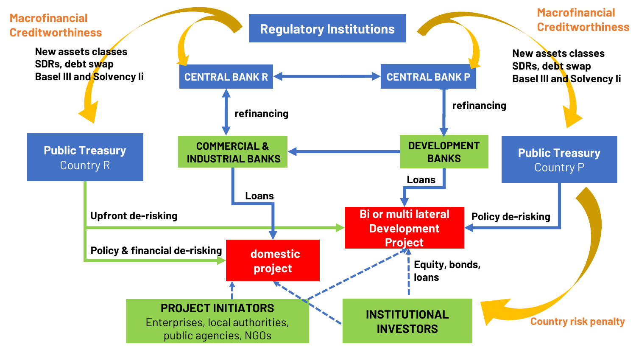